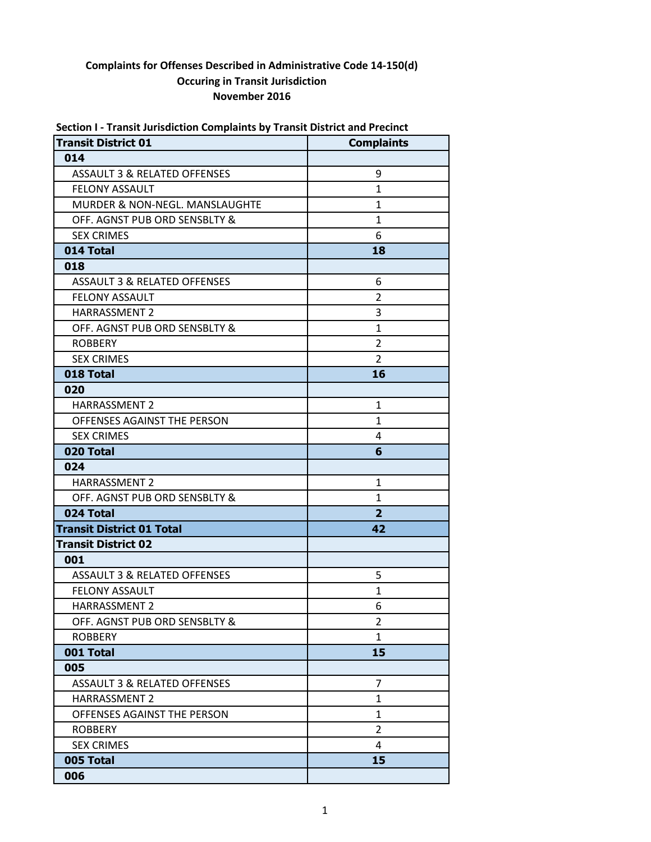| Section T- Transit Jurisdiction Complaints by Transit District and Precinct<br><b>Transit District 01</b> | <b>Complaints</b> |
|-----------------------------------------------------------------------------------------------------------|-------------------|
| 014                                                                                                       |                   |
| <b>ASSAULT 3 &amp; RELATED OFFENSES</b>                                                                   | 9                 |
| FELONY ASSAULT                                                                                            | $\mathbf{1}$      |
| MURDER & NON-NEGL. MANSLAUGHTE                                                                            | $\mathbf{1}$      |
|                                                                                                           |                   |
| OFF. AGNST PUB ORD SENSBLTY &                                                                             | $\mathbf{1}$<br>6 |
| <b>SEX CRIMES</b><br>014 Total                                                                            |                   |
|                                                                                                           | 18                |
| 018                                                                                                       |                   |
| <b>ASSAULT 3 &amp; RELATED OFFENSES</b>                                                                   | 6                 |
| <b>FELONY ASSAULT</b>                                                                                     | $\overline{2}$    |
| <b>HARRASSMENT 2</b>                                                                                      | 3                 |
| OFF. AGNST PUB ORD SENSBLTY &                                                                             | $\mathbf{1}$      |
| <b>ROBBERY</b>                                                                                            | $\overline{2}$    |
| <b>SEX CRIMES</b>                                                                                         | $\overline{2}$    |
| 018 Total                                                                                                 | 16                |
| 020                                                                                                       |                   |
| <b>HARRASSMENT 2</b>                                                                                      | 1                 |
| OFFENSES AGAINST THE PERSON                                                                               | $\mathbf{1}$      |
| <b>SEX CRIMES</b>                                                                                         | 4                 |
| 020 Total                                                                                                 | 6                 |
| 024                                                                                                       |                   |
| <b>HARRASSMENT 2</b>                                                                                      | $\mathbf{1}$      |
| OFF. AGNST PUB ORD SENSBLTY &                                                                             | $\mathbf{1}$      |
| 024 Total                                                                                                 | $\overline{2}$    |
| <b>Transit District 01 Total</b>                                                                          | 42                |
| <b>Transit District 02</b>                                                                                |                   |
| 001                                                                                                       |                   |
| <b>ASSAULT 3 &amp; RELATED OFFENSES</b>                                                                   | 5                 |
| FELONY ASSAULT                                                                                            | 1                 |
| HARRASSMENT 2                                                                                             | 6                 |
| OFF. AGNST PUB ORD SENSBLTY &                                                                             | 2                 |
| <b>ROBBERY</b>                                                                                            | $\mathbf{1}$      |
| 001 Total                                                                                                 | 15                |
| 005                                                                                                       |                   |
| <b>ASSAULT 3 &amp; RELATED OFFENSES</b>                                                                   | $\overline{7}$    |
| <b>HARRASSMENT 2</b>                                                                                      | $\mathbf{1}$      |
| OFFENSES AGAINST THE PERSON                                                                               | $\mathbf{1}$      |
| <b>ROBBERY</b>                                                                                            | $\overline{2}$    |
| <b>SEX CRIMES</b>                                                                                         | 4                 |
| 005 Total                                                                                                 | 15                |
| 006                                                                                                       |                   |

# **Section I - Transit Jurisdiction Complaints by Transit District and Precinct**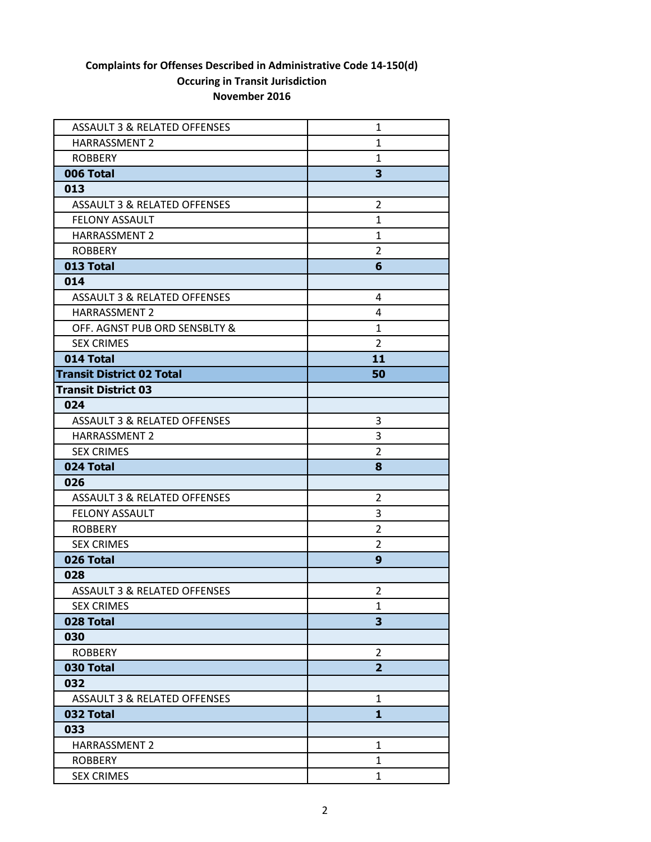| <b>ASSAULT 3 &amp; RELATED OFFENSES</b> | 1              |
|-----------------------------------------|----------------|
| <b>HARRASSMENT 2</b>                    | $\mathbf{1}$   |
| <b>ROBBERY</b>                          | $\mathbf{1}$   |
| 006 Total                               | 3              |
| 013                                     |                |
| ASSAULT 3 & RELATED OFFENSES            | $\overline{2}$ |
| <b>FELONY ASSAULT</b>                   | $\mathbf{1}$   |
| <b>HARRASSMENT 2</b>                    | $\mathbf{1}$   |
| <b>ROBBERY</b>                          | $\overline{2}$ |
| 013 Total                               | 6              |
| 014                                     |                |
| <b>ASSAULT 3 &amp; RELATED OFFENSES</b> | 4              |
| HARRASSMENT 2                           | 4              |
| OFF. AGNST PUB ORD SENSBLTY &           | $\mathbf{1}$   |
| <b>SEX CRIMES</b>                       | $\overline{2}$ |
| 014 Total                               | 11             |
| <b>Transit District 02 Total</b>        | 50             |
| <b>Transit District 03</b>              |                |
| 024                                     |                |
| <b>ASSAULT 3 &amp; RELATED OFFENSES</b> | 3              |
| HARRASSMENT 2                           | 3              |
| <b>SEX CRIMES</b>                       | $\overline{2}$ |
| 024 Total                               | 8              |
| 026                                     |                |
| ASSAULT 3 & RELATED OFFENSES            | 2              |
| <b>FELONY ASSAULT</b>                   | 3              |
| <b>ROBBERY</b>                          | $\overline{2}$ |
| <b>SEX CRIMES</b>                       | $\overline{2}$ |
| 026 Total                               | 9              |
| 028                                     |                |
| <b>ASSAULT 3 &amp; RELATED OFFENSES</b> | $\overline{2}$ |
| <b>SEX CRIMES</b>                       | 1              |
| 028 Total                               | 3              |
| 030                                     |                |
| <b>ROBBERY</b>                          | 2              |
| 030 Total                               | $\overline{2}$ |
| 032                                     |                |
| ASSAULT 3 & RELATED OFFENSES            | 1              |
| 032 Total                               | $\mathbf{1}$   |
| 033                                     |                |
| HARRASSMENT 2                           | 1              |
| <b>ROBBERY</b>                          | 1              |
| <b>SEX CRIMES</b>                       | $\mathbf{1}$   |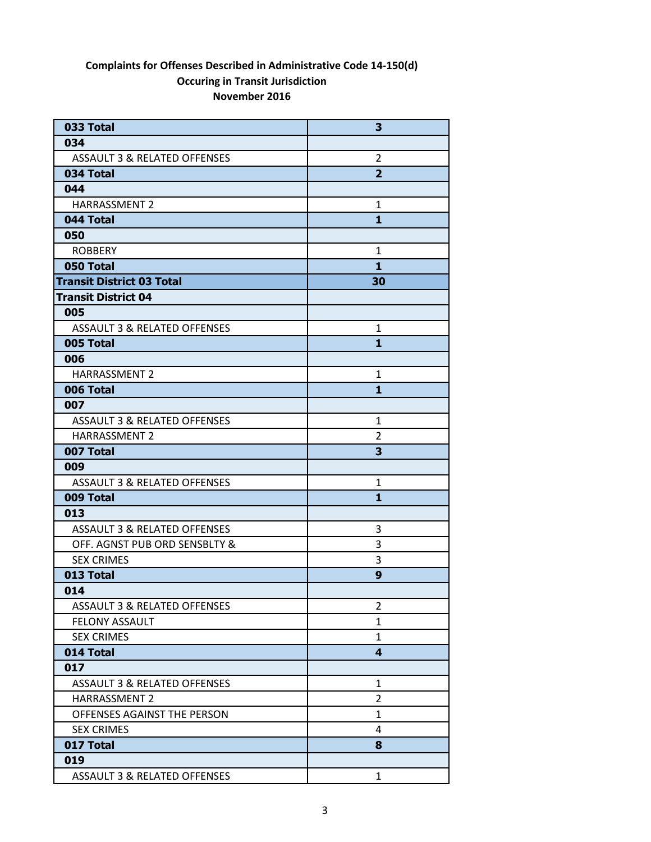| 033 Total                               | 3                       |
|-----------------------------------------|-------------------------|
| 034                                     |                         |
| ASSAULT 3 & RELATED OFFENSES            | $\overline{2}$          |
| 034 Total                               | $\overline{2}$          |
| 044                                     |                         |
| <b>HARRASSMENT 2</b>                    | $\mathbf{1}$            |
| 044 Total                               | 1                       |
| 050                                     |                         |
| <b>ROBBERY</b>                          | 1                       |
| 050 Total                               | $\mathbf{1}$            |
| <b>Transit District 03 Total</b>        | 30                      |
| <b>Transit District 04</b>              |                         |
| 005                                     |                         |
| <b>ASSAULT 3 &amp; RELATED OFFENSES</b> | 1                       |
| 005 Total                               | $\mathbf{1}$            |
| 006                                     |                         |
| <b>HARRASSMENT 2</b>                    | 1                       |
| 006 Total                               | $\mathbf{1}$            |
| 007                                     |                         |
| ASSAULT 3 & RELATED OFFENSES            | 1                       |
| <b>HARRASSMENT 2</b>                    | 2                       |
| 007 Total                               | 3                       |
| 009                                     |                         |
| <b>ASSAULT 3 &amp; RELATED OFFENSES</b> | 1                       |
| 009 Total                               | 1                       |
| 013                                     |                         |
| <b>ASSAULT 3 &amp; RELATED OFFENSES</b> | 3                       |
| OFF. AGNST PUB ORD SENSBLTY &           | 3                       |
| <b>SEX CRIMES</b>                       | 3                       |
| 013 Total                               | 9                       |
| 014                                     |                         |
| <b>ASSAULT 3 &amp; RELATED OFFENSES</b> | 2                       |
| <b>FELONY ASSAULT</b>                   | 1                       |
| <b>SEX CRIMES</b>                       | $\mathbf{1}$            |
| 014 Total                               | $\overline{\mathbf{4}}$ |
| 017                                     |                         |
| <b>ASSAULT 3 &amp; RELATED OFFENSES</b> | 1                       |
| <b>HARRASSMENT 2</b>                    | $\overline{2}$          |
| OFFENSES AGAINST THE PERSON             | 1                       |
| <b>SEX CRIMES</b>                       | 4                       |
| 017 Total                               | 8                       |
| 019                                     |                         |
| ASSAULT 3 & RELATED OFFENSES            | 1                       |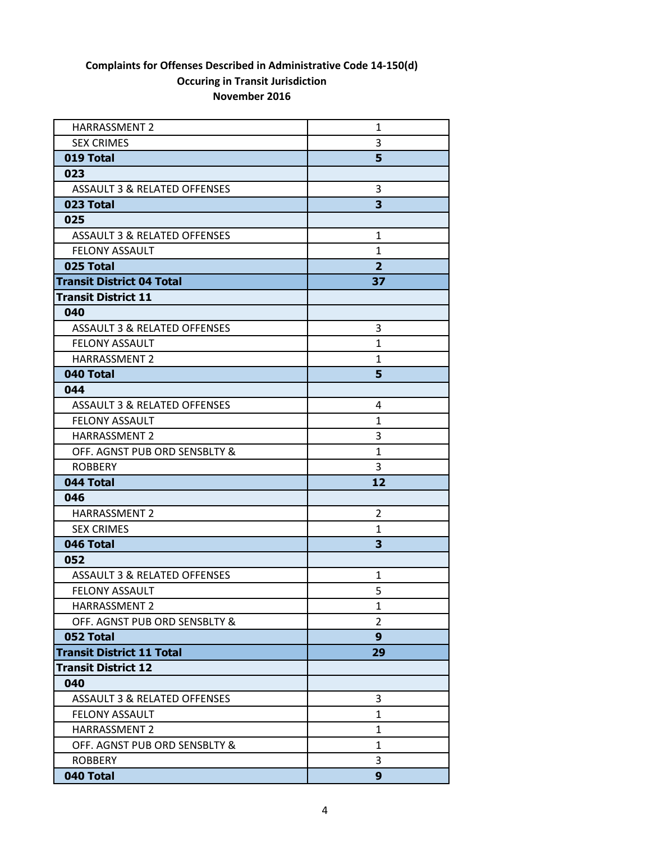| <b>HARRASSMENT 2</b>                    | 1              |
|-----------------------------------------|----------------|
| <b>SEX CRIMES</b>                       | 3              |
| 019 Total                               | 5              |
| 023                                     |                |
| <b>ASSAULT 3 &amp; RELATED OFFENSES</b> | 3              |
| 023 Total                               | 3              |
| 025                                     |                |
| <b>ASSAULT 3 &amp; RELATED OFFENSES</b> | 1              |
| <b>FELONY ASSAULT</b>                   | $\mathbf{1}$   |
| 025 Total                               | $\overline{2}$ |
| <b>Transit District 04 Total</b>        | 37             |
| <b>Transit District 11</b>              |                |
| 040                                     |                |
| <b>ASSAULT 3 &amp; RELATED OFFENSES</b> | 3              |
| <b>FELONY ASSAULT</b>                   | $\mathbf{1}$   |
| <b>HARRASSMENT 2</b>                    | 1              |
| 040 Total                               | 5              |
| 044                                     |                |
| <b>ASSAULT 3 &amp; RELATED OFFENSES</b> | 4              |
| <b>FELONY ASSAULT</b>                   | $\mathbf{1}$   |
| <b>HARRASSMENT 2</b>                    | 3              |
| OFF. AGNST PUB ORD SENSBLTY &           | $\mathbf{1}$   |
| <b>ROBBERY</b>                          | 3              |
| 044 Total                               | 12             |
| 046                                     |                |
| <b>HARRASSMENT 2</b>                    | 2              |
| <b>SEX CRIMES</b>                       | $\mathbf{1}$   |
| 046 Total                               | 3              |
| 052                                     |                |
| ASSAULT 3 & RELATED OFFENSES            | 1              |
| <b>FELONY ASSAULT</b>                   | 5              |
| <b>HARRASSMENT 2</b>                    | 1              |
| OFF. AGNST PUB ORD SENSBLTY &           | 2              |
| 052 Total                               | 9              |
| <b>Transit District 11 Total</b>        | 29             |
| <b>Transit District 12</b>              |                |
| 040                                     |                |
| <b>ASSAULT 3 &amp; RELATED OFFENSES</b> | 3              |
| <b>FELONY ASSAULT</b>                   | $\mathbf{1}$   |
| <b>HARRASSMENT 2</b>                    | $\mathbf{1}$   |
| OFF. AGNST PUB ORD SENSBLTY &           | $\mathbf{1}$   |
| <b>ROBBERY</b>                          | 3              |
| 040 Total                               | 9              |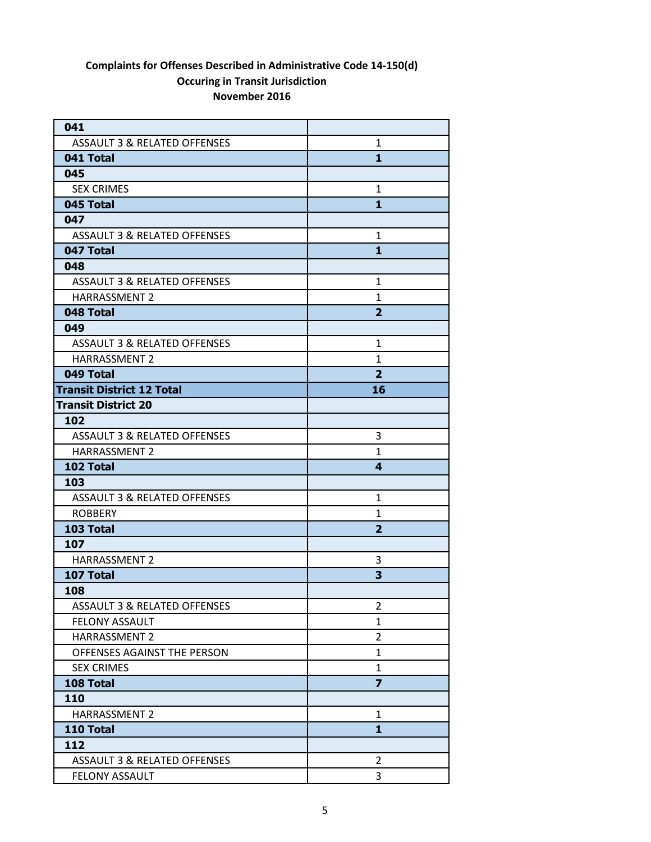| 041                                     |                |
|-----------------------------------------|----------------|
| ASSAULT 3 & RELATED OFFENSES            | $\mathbf{1}$   |
| 041 Total                               | $\mathbf{1}$   |
| 045                                     |                |
| <b>SEX CRIMES</b>                       | $\mathbf{1}$   |
| 045 Total                               | $\mathbf{1}$   |
| 047                                     |                |
| ASSAULT 3 & RELATED OFFENSES            | 1              |
| 047 Total                               | $\mathbf{1}$   |
| 048                                     |                |
| <b>ASSAULT 3 &amp; RELATED OFFENSES</b> | 1              |
| <b>HARRASSMENT 2</b>                    | $\mathbf{1}$   |
| 048 Total                               | $\overline{2}$ |
| 049                                     |                |
| <b>ASSAULT 3 &amp; RELATED OFFENSES</b> | $\mathbf{1}$   |
| <b>HARRASSMENT 2</b>                    | $\mathbf{1}$   |
| 049 Total                               | $\overline{2}$ |
| <b>Transit District 12 Total</b>        | 16             |
| <b>Transit District 20</b>              |                |
| 102                                     |                |
| <b>ASSAULT 3 &amp; RELATED OFFENSES</b> | 3              |
| <b>HARRASSMENT 2</b>                    | $\mathbf{1}$   |
| 102 Total                               | 4              |
| 103                                     |                |
| <b>ASSAULT 3 &amp; RELATED OFFENSES</b> | 1              |
| <b>ROBBERY</b>                          | $\mathbf{1}$   |
| 103 Total                               | $\overline{2}$ |
| 107                                     |                |
| <b>HARRASSMENT 2</b>                    | 3              |
| 107 Total                               | 3              |
| 108                                     |                |
| <b>ASSAULT 3 &amp; RELATED OFFENSES</b> | 2              |
| FELONY ASSAULT                          | 1              |
| HARRASSMENT 2                           | $\overline{2}$ |
| OFFENSES AGAINST THE PERSON             | $\mathbf{1}$   |
| <b>SEX CRIMES</b>                       | $\mathbf{1}$   |
| 108 Total                               | $\overline{z}$ |
| 110                                     |                |
| <b>HARRASSMENT 2</b>                    | 1              |
| 110 Total                               | $\mathbf{1}$   |
| 112                                     |                |
| <b>ASSAULT 3 &amp; RELATED OFFENSES</b> | 2              |
| <b>FELONY ASSAULT</b>                   | 3              |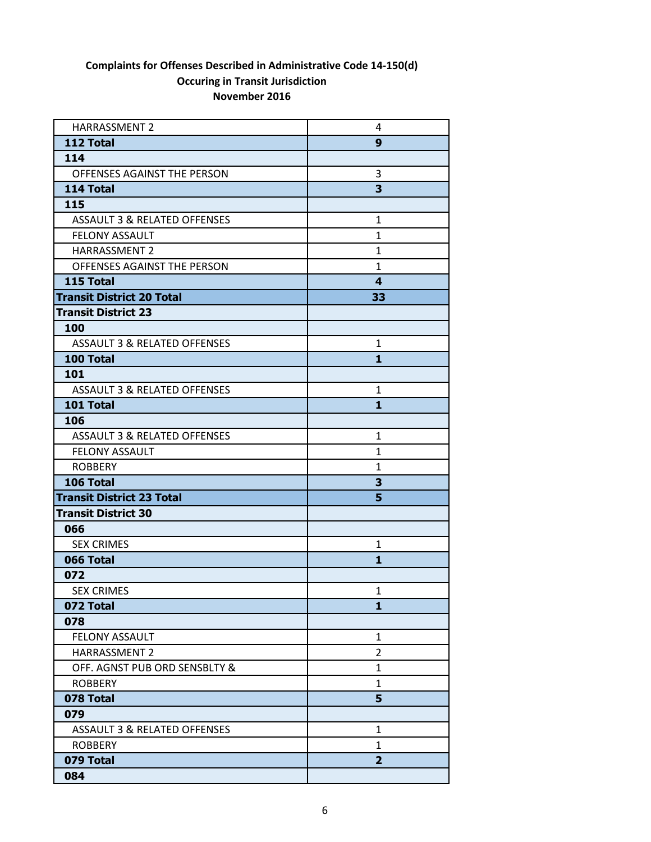| <b>HARRASSMENT 2</b>                    | 4              |
|-----------------------------------------|----------------|
| 112 Total                               | 9              |
| 114                                     |                |
| OFFENSES AGAINST THE PERSON             | 3              |
| 114 Total                               | 3              |
| 115                                     |                |
| <b>ASSAULT 3 &amp; RELATED OFFENSES</b> | $\mathbf{1}$   |
| <b>FELONY ASSAULT</b>                   | $\mathbf{1}$   |
| <b>HARRASSMENT 2</b>                    | $\mathbf{1}$   |
| OFFENSES AGAINST THE PERSON             | $\mathbf{1}$   |
| 115 Total                               | 4              |
| <b>Transit District 20 Total</b>        | 33             |
| <b>Transit District 23</b>              |                |
| 100                                     |                |
| <b>ASSAULT 3 &amp; RELATED OFFENSES</b> | $\mathbf 1$    |
| 100 Total                               | 1              |
| 101                                     |                |
| <b>ASSAULT 3 &amp; RELATED OFFENSES</b> | 1              |
| 101 Total                               | $\mathbf{1}$   |
| 106                                     |                |
| <b>ASSAULT 3 &amp; RELATED OFFENSES</b> | 1              |
| <b>FELONY ASSAULT</b>                   | $\mathbf{1}$   |
| <b>ROBBERY</b>                          | 1              |
| 106 Total                               | 3              |
| <b>Transit District 23 Total</b>        | 5              |
| <b>Transit District 30</b>              |                |
| 066                                     |                |
| <b>SEX CRIMES</b>                       | $\mathbf{1}$   |
| 066 Total                               | 1              |
| 072                                     |                |
| <b>SEX CRIMES</b>                       | $\mathbf{1}$   |
| 072 Total                               | 1              |
| 078                                     |                |
| <b>FELONY ASSAULT</b>                   | $\mathbf{1}$   |
| <b>HARRASSMENT 2</b>                    | $\overline{2}$ |
| OFF. AGNST PUB ORD SENSBLTY &           | $\mathbf{1}$   |
| <b>ROBBERY</b>                          | 1              |
| 078 Total                               | 5              |
| 079                                     |                |
| <b>ASSAULT 3 &amp; RELATED OFFENSES</b> | $\mathbf{1}$   |
| <b>ROBBERY</b>                          | $\mathbf{1}$   |
| 079 Total                               | $\overline{2}$ |
| 084                                     |                |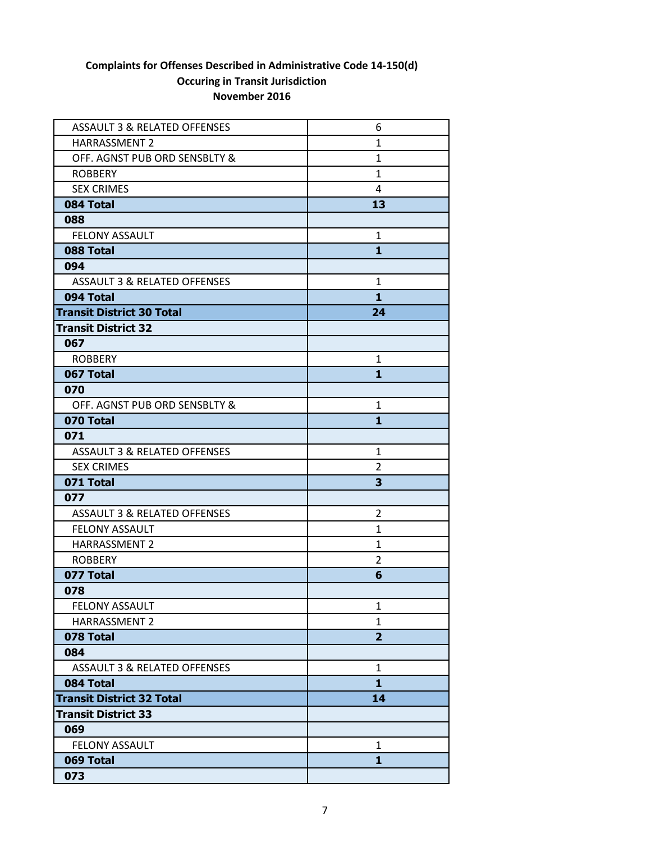| <b>ASSAULT 3 &amp; RELATED OFFENSES</b> | 6              |
|-----------------------------------------|----------------|
| <b>HARRASSMENT 2</b>                    | 1              |
| OFF. AGNST PUB ORD SENSBLTY &           | $\mathbf{1}$   |
| <b>ROBBERY</b>                          | $\mathbf{1}$   |
| <b>SEX CRIMES</b>                       | 4              |
| 084 Total                               | 13             |
| 088                                     |                |
| <b>FELONY ASSAULT</b>                   | 1              |
| 088 Total                               | $\mathbf{1}$   |
| 094                                     |                |
| <b>ASSAULT 3 &amp; RELATED OFFENSES</b> | 1              |
| 094 Total                               | $\mathbf{1}$   |
| <b>Transit District 30 Total</b>        | 24             |
| <b>Transit District 32</b>              |                |
| 067                                     |                |
| <b>ROBBERY</b>                          | 1              |
| 067 Total                               | 1              |
| 070                                     |                |
| OFF. AGNST PUB ORD SENSBLTY &           | 1              |
| 070 Total                               | $\mathbf{1}$   |
| 071                                     |                |
| <b>ASSAULT 3 &amp; RELATED OFFENSES</b> | $\mathbf{1}$   |
| <b>SEX CRIMES</b>                       | 2              |
| 071 Total                               | 3              |
| 077                                     |                |
| <b>ASSAULT 3 &amp; RELATED OFFENSES</b> | 2              |
| <b>FELONY ASSAULT</b>                   | 1              |
| HARRASSMENT 2                           | 1              |
| <b>ROBBERY</b>                          | 2              |
| 077 Total                               | 6              |
| 078                                     |                |
| FELONY ASSAULT                          | 1              |
| HARRASSMENT 2                           | 1              |
| 078 Total                               | $\overline{2}$ |
| 084                                     |                |
| <b>ASSAULT 3 &amp; RELATED OFFENSES</b> | $\mathbf{1}$   |
| 084 Total                               | $\mathbf{1}$   |
| <b>Transit District 32 Total</b>        | 14             |
| <b>Transit District 33</b>              |                |
| 069                                     |                |
| <b>FELONY ASSAULT</b>                   | 1              |
| 069 Total                               | 1              |
| 073                                     |                |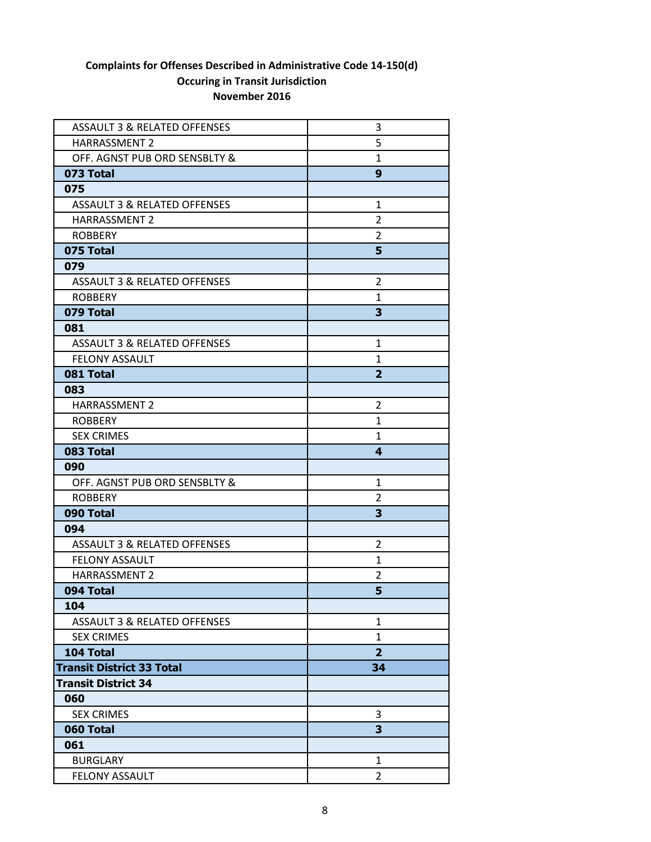| <b>ASSAULT 3 &amp; RELATED OFFENSES</b> | 3                       |
|-----------------------------------------|-------------------------|
| <b>HARRASSMENT 2</b>                    | 5                       |
| OFF. AGNST PUB ORD SENSBLTY &           | $\mathbf{1}$            |
| 073 Total                               | 9                       |
| 075                                     |                         |
| ASSAULT 3 & RELATED OFFENSES            | $\mathbf{1}$            |
| HARRASSMENT 2                           | $\overline{2}$          |
| <b>ROBBERY</b>                          | 2                       |
| 075 Total                               | 5                       |
| 079                                     |                         |
| <b>ASSAULT 3 &amp; RELATED OFFENSES</b> | 2                       |
| <b>ROBBERY</b>                          | $\mathbf{1}$            |
| 079 Total                               | 3                       |
| 081                                     |                         |
| ASSAULT 3 & RELATED OFFENSES            | 1                       |
| <b>FELONY ASSAULT</b>                   | 1                       |
| 081 Total                               | $\overline{2}$          |
| 083                                     |                         |
| <b>HARRASSMENT 2</b>                    | $\overline{2}$          |
| <b>ROBBERY</b>                          | 1                       |
| <b>SEX CRIMES</b>                       | 1                       |
| 083 Total                               | $\overline{\mathbf{4}}$ |
| 090                                     |                         |
| OFF. AGNST PUB ORD SENSBLTY &           | 1                       |
| <b>ROBBERY</b>                          | 2                       |
| 090 Total                               | 3                       |
| 094                                     |                         |
| <b>ASSAULT 3 &amp; RELATED OFFENSES</b> | 2                       |
| <b>FELONY ASSAULT</b>                   | $\mathbf{1}$            |
| <b>HARRASSMENT 2</b>                    | 2                       |
| 094 Total                               | 5                       |
| 104                                     |                         |
| <b>ASSAULT 3 &amp; RELATED OFFENSES</b> | 1                       |
| <b>SEX CRIMES</b>                       | $\mathbf{1}$            |
| 104 Total                               | $\overline{2}$          |
| <b>Transit District 33 Total</b>        | 34                      |
| <b>Transit District 34</b>              |                         |
| 060                                     |                         |
| <b>SEX CRIMES</b>                       | 3                       |
| 060 Total                               | 3                       |
| 061                                     |                         |
| <b>BURGLARY</b>                         | 1                       |
| <b>FELONY ASSAULT</b>                   | $\overline{2}$          |